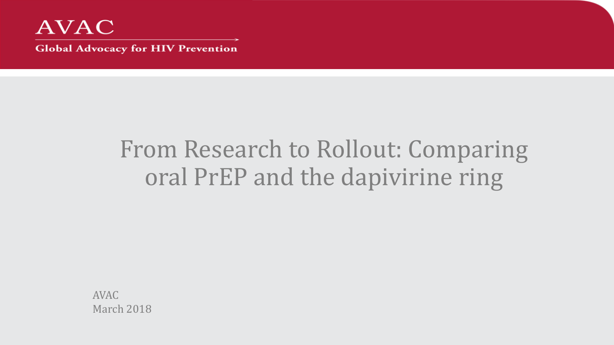

# From Research to Rollout: Comparing oral PrEP and the dapivirine ring

AVAC March 2018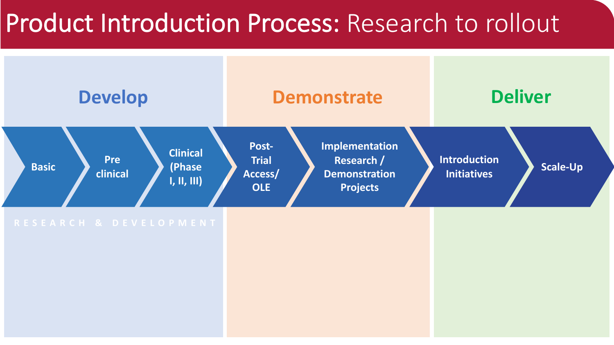# Product Introduction Process: Research to rollout

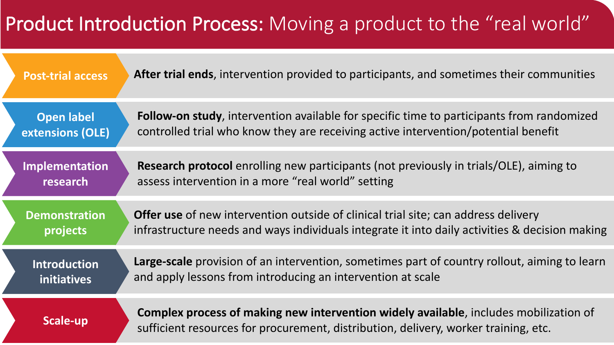## Product Introduction Process: Moving a product to the "real world"

| <b>Post-trial access</b> | After trial ends, intervention provided to participants, and sometimes their communities                                                                                     |
|--------------------------|------------------------------------------------------------------------------------------------------------------------------------------------------------------------------|
| <b>Open label</b>        | <b>Follow-on study</b> , intervention available for specific time to participants from randomized                                                                            |
| extensions (OLE)         | controlled trial who know they are receiving active intervention/potential benefit                                                                                           |
| <b>Implementation</b>    | <b>Research protocol</b> enrolling new participants (not previously in trials/OLE), aiming to                                                                                |
| research                 | assess intervention in a more "real world" setting                                                                                                                           |
| <b>Demonstration</b>     | <b>Offer use</b> of new intervention outside of clinical trial site; can address delivery                                                                                    |
| projects                 | infrastructure needs and ways individuals integrate it into daily activities & decision making                                                                               |
| <b>Introduction</b>      | <b>Large-scale</b> provision of an intervention, sometimes part of country rollout, aiming to learn                                                                          |
| initiatives              | and apply lessons from introducing an intervention at scale                                                                                                                  |
| Scale-up                 | Complex process of making new intervention widely available, includes mobilization of<br>sufficient resources for procurement, distribution, delivery, worker training, etc. |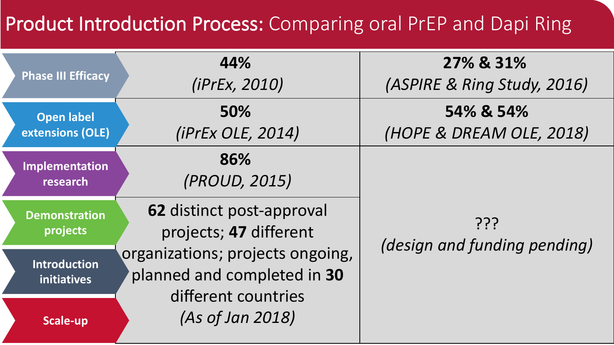### Product Introduction Process: Comparing oral PrEP and Dapi Ring

| <b>Phase III Efficacy</b>                 | 44%<br>(iPrEx, 2010)                                            | 27% & 31%<br>(ASPIRE & Ring Study, 2016) |  |
|-------------------------------------------|-----------------------------------------------------------------|------------------------------------------|--|
| <b>Open label</b><br>extensions (OLE)     | 50%<br><i>(iPrEx OLE, 2014)</i>                                 | 54% & 54%<br>(HOPE & DREAM OLE, 2018)    |  |
| Implementation<br>research                | 86%<br>(PROUD, 2015)                                            |                                          |  |
| <b>Demonstration</b><br>projects          | <b>62 distinct post-approval</b><br>projects; 47 different      | ???<br>(design and funding pending)      |  |
| <b>Introduction</b><br><b>initiatives</b> | organizations; projects ongoing,<br>planned and completed in 30 |                                          |  |
| Scale-up                                  | different countries<br>(As of Jan 2018)                         |                                          |  |